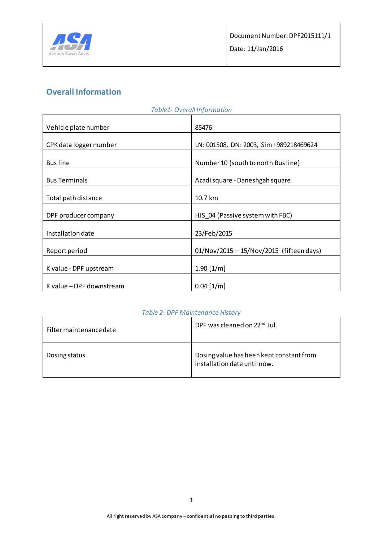

# **Overall Information**

| <b>Table1- Overall Information</b> |                                          |  |  |
|------------------------------------|------------------------------------------|--|--|
| Vehicle plate number               | 85476                                    |  |  |
| CPK data logger number             | LN: 001508, DN: 2003, Sim +989218469624  |  |  |
| <b>Bus line</b>                    | Number 10 (south to north Busline)       |  |  |
| <b>Bus Terminals</b>               | Azadi square - Daneshgah square          |  |  |
| Total path distance                | 10.7 km                                  |  |  |
| DPF producer company               | HJS_04 (Passive system with FBC)         |  |  |
| Installation date                  | 23/Feb/2015                              |  |  |
| Report period                      | 01/Nov/2015 - 15/Nov/2015 (fifteen days) |  |  |
| K value - DPF upstream             | $1.90$ [1/m]                             |  |  |
| K value - DPF downstream           | $0.04$ [1/m]                             |  |  |

### *Table 2- DPF Maintenance History*

| Filter maintenance date | DPF was cleaned on 22 <sup>nd</sup> Jul.                                 |
|-------------------------|--------------------------------------------------------------------------|
| Dosing status           | Dosing value has been kept constant from<br>installation date until now. |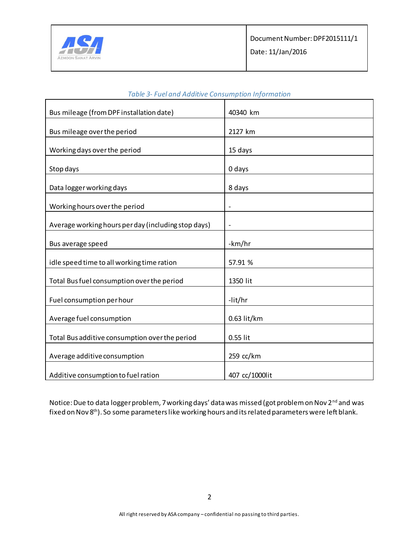

| Bus mileage (from DPF installation date)            | 40340 km                 |
|-----------------------------------------------------|--------------------------|
| Bus mileage over the period                         | 2127 km                  |
|                                                     |                          |
| Working days over the period                        | 15 days                  |
| Stop days                                           | 0 days                   |
| Data logger working days                            | 8 days                   |
| Working hours over the period                       | $\overline{\phantom{a}}$ |
|                                                     |                          |
| Average working hours per day (including stop days) | $\overline{a}$           |
| Bus average speed                                   | -km/hr                   |
| idle speed time to all working time ration          | 57.91 %                  |
| Total Bus fuel consumption over the period          | 1350 lit                 |
| Fuel consumption per hour                           | -lit/hr                  |
| Average fuel consumption                            | 0.63 lit/km              |
| Total Bus additive consumption over the period      | 0.55 lit                 |
| Average additive consumption                        | 259 cc/km                |
| Additive consumption to fuel ration                 | 407 cc/1000lit           |

### *Table 3- Fuel and Additive Consumption Information*

Notice: Due to data logger problem, 7 working days' data was missed (got problem on Nov 2<sup>nd</sup> and was fixed on Nov 8<sup>th</sup>). So some parameters like working hours and its related parameters were left blank.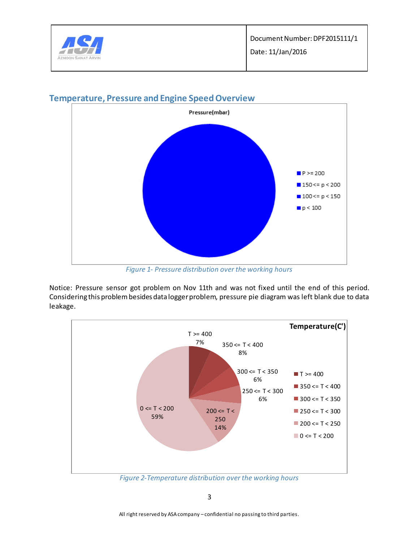



### **Temperature, Pressure and Engine Speed Overview**

*Figure 1- Pressure distribution over the working hours*

Notice: Pressure sensor got problem on Nov 11th and was not fixed until the end of this period. Considering this problem besides data logger problem, pressure pie diagram was left blank due to data leakage.

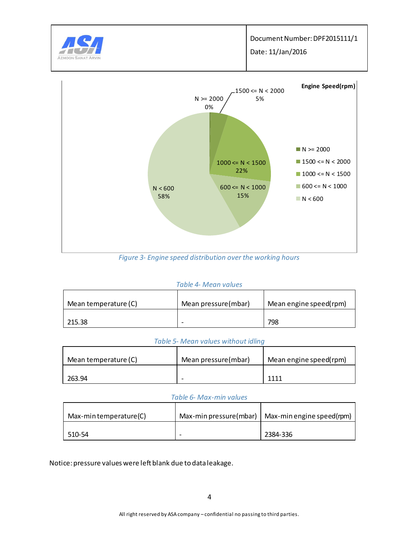



#### *Table 4- Mean values*

| Mean temperature (C) | Mean pressure(mbar)      | Mean engine speed(rpm) |
|----------------------|--------------------------|------------------------|
| 215.38               | $\overline{\phantom{0}}$ | 798                    |

#### *Table 5- Mean values without idling*

| Mean temperature (C) | Mean pressure(mbar) | Mean engine speed(rpm) |
|----------------------|---------------------|------------------------|
| 263.94               | -                   | 1111                   |

#### *Table 6- Max-min values*

| Max-min temperature(C) | Max-min pressure(mbar)   Max-min engine speed(rpm) |
|------------------------|----------------------------------------------------|
| 510-54                 | 2384-336                                           |

Notice: pressure values were left blank due to data leakage.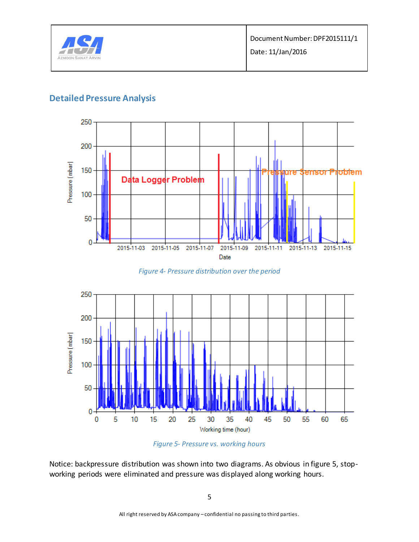

### **Detailed Pressure Analysis**



*Figure 4- Pressure distribution over the period*





Notice: backpressure distribution was shown into two diagrams. As obvious in figure 5, stopworking periods were eliminated and pressure was displayed along working hours.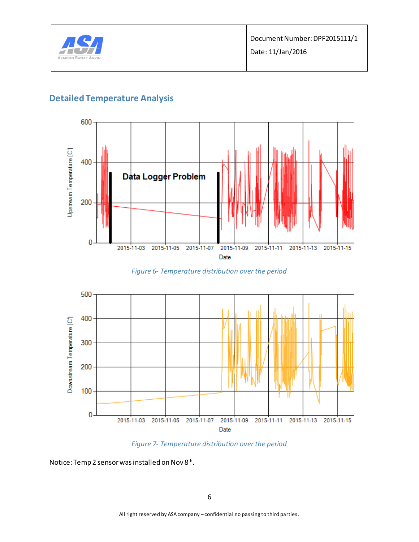

## **Detailed Temperature Analysis**



*Figure 6- Temperature distribution over the period*





Notice: Temp 2 sensor was installed on Nov 8<sup>th</sup>.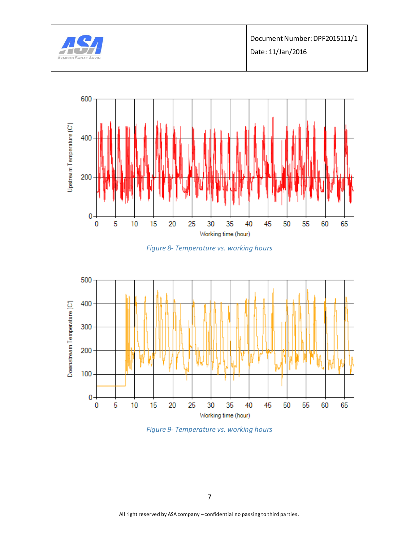







*Figure 9- Temperature vs. working hours*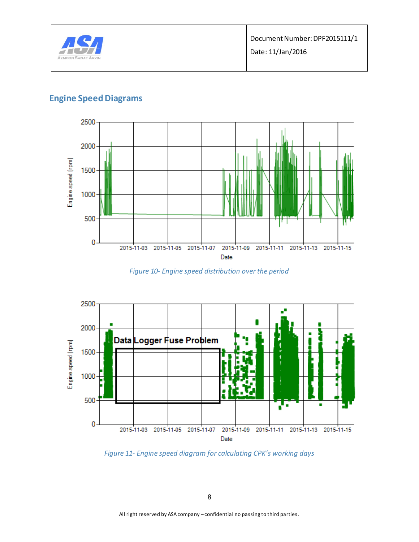

## **Engine Speed Diagrams**



*Figure 10- Engine speed distribution over the period*



*Figure 11- Engine speed diagram for calculating CPK's working days*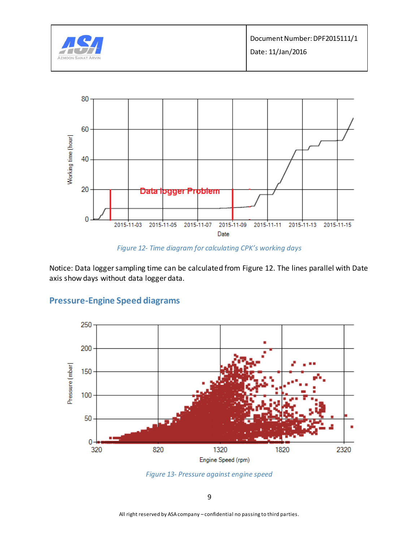



*Figure 12- Time diagram for calculating CPK's working days*

Notice: Data logger sampling time can be calculated from Figure 12. The lines parallel with Date axis show days without data logger data.





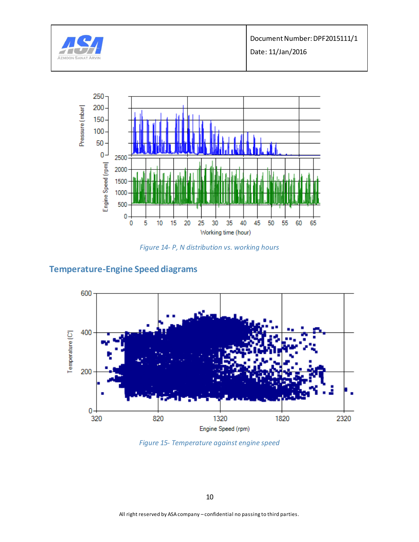

Document Number: DPF2015111/1

Date: 11/Jan/2016



*Figure 14- P, N distribution vs. working hours*

## **Temperature-Engine Speed diagrams**



*Figure 15- Temperature against engine speed*